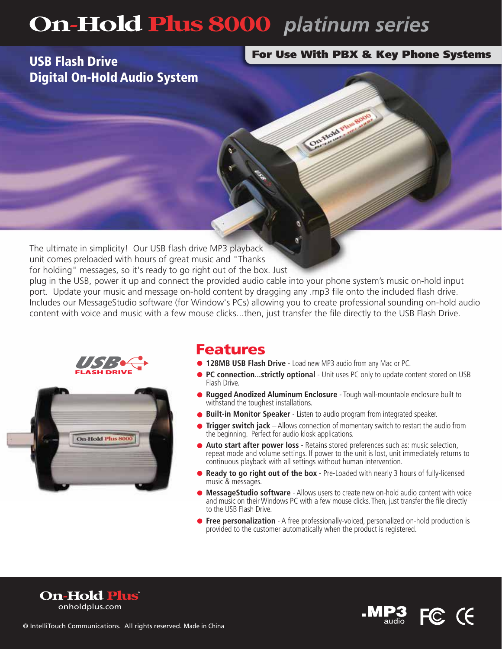# **On-Hold Plus 8000** platinum series

## USB Flash Drive Digital On-Hold Audio System

#### For Use With PBX & Key Phone Systems

The ultimate in simplicity! Our USB flash drive MP3 playback unit comes preloaded with hours of great music and "Thanks for holding" messages, so it's ready to go right out of the box. Just

plug in the USB, power it up and connect the provided audio cable into your phone system's music on-hold input port. Update your music and message on-hold content by dragging any .mp3 file onto the included flash drive. Includes our MessageStudio software (for Window's PCs) allowing you to create professional sounding on-hold audio content with voice and music with a few mouse clicks...then, just transfer the file directly to the USB Flash Drive.





### Features

- **128MB USB Flash Drive** Load new MP3 audio from any Mac or PC.
- **PC connection...strictly optional** Unit uses PC only to update content stored on USB Flash Drive.
- **Rugged Anodized Aluminum Enclosure** Tough wall-mountable enclosure built to withstand the toughest installations.

On though the

- **Built-in Monitor Speaker** Listen to audio program from integrated speaker.
- **Trigger switch jack** Allows connection of momentary switch to restart the audio from the beginning. Perfect for audio kiosk applications.
- **Auto start after power loss** Retains stored preferences such as: music selection, repeat mode and volume settings. If power to the unit is lost, unit immediately returns to continuous playback with all settings without human intervention.
- **Ready to go right out of the box** Pre-Loaded with nearly 3 hours of fully-licensed music & messages.
- **MessageStudio software** Allows users to create new on-hold audio content with voice and music on their Windows PC with a few mouse clicks. Then, just transfer the file directly to the USB Flash Drive.
- **Free personalization** A free professionally-voiced, personalized on-hold production is provided to the customer automatically when the product is registered.